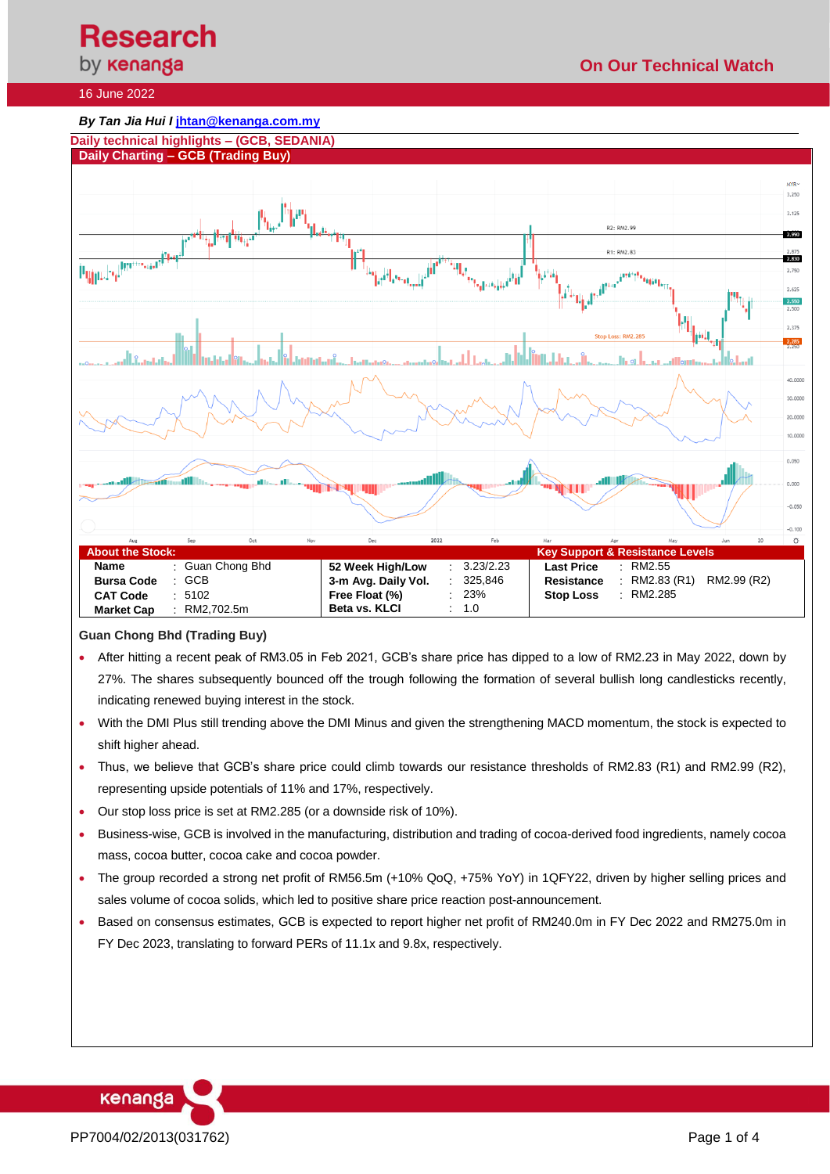#### 16 June 2022





## **Guan Chong Bhd (Trading Buy)**

- After hitting a recent peak of RM3.05 in Feb 2021, GCB's share price has dipped to a low of RM2.23 in May 2022, down by 27%. The shares subsequently bounced off the trough following the formation of several bullish long candlesticks recently, indicating renewed buying interest in the stock.
- With the DMI Plus still trending above the DMI Minus and given the strengthening MACD momentum, the stock is expected to shift higher ahead.
- Thus, we believe that GCB's share price could climb towards our resistance thresholds of RM2.83 (R1) and RM2.99 (R2), representing upside potentials of 11% and 17%, respectively.
- Our stop loss price is set at RM2.285 (or a downside risk of 10%).
- Business-wise, GCB is involved in the manufacturing, distribution and trading of cocoa-derived food ingredients, namely cocoa mass, cocoa butter, cocoa cake and cocoa powder.
- The group recorded a strong net profit of RM56.5m (+10% QoQ, +75% YoY) in 1QFY22, driven by higher selling prices and sales volume of cocoa solids, which led to positive share price reaction post-announcement.
- Based on consensus estimates, GCB is expected to report higher net profit of RM240.0m in FY Dec 2022 and RM275.0m in FY Dec 2023, translating to forward PERs of 11.1x and 9.8x, respectively.

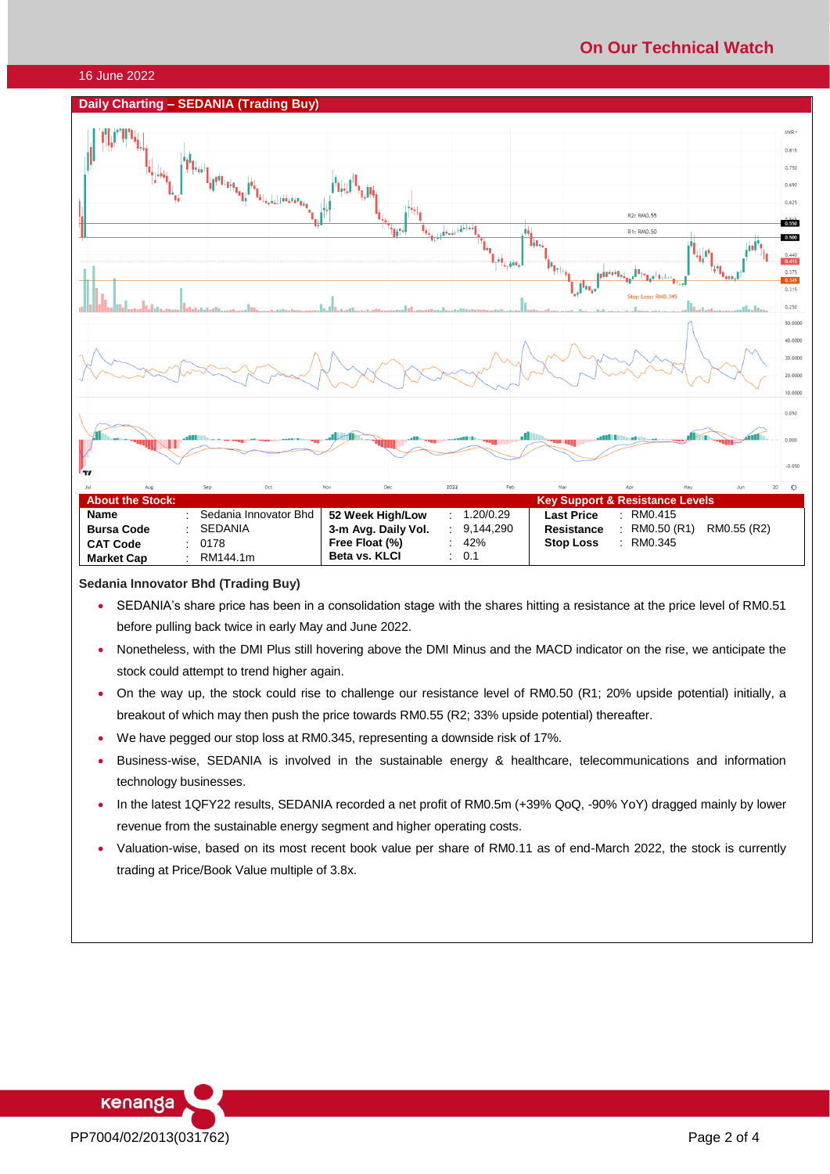# **On Our Technical Watch**

#### 16 June 2022

### **Daily Charting – SEDANIA (Trading Buy)**



#### **Sedania Innovator Bhd (Trading Buy)**

- SEDANIA's share price has been in a consolidation stage with the shares hitting a resistance at the price level of RM0.51 before pulling back twice in early May and June 2022.
- Nonetheless, with the DMI Plus still hovering above the DMI Minus and the MACD indicator on the rise, we anticipate the stock could attempt to trend higher again.
- On the way up, the stock could rise to challenge our resistance level of RM0.50 (R1; 20% upside potential) initially, a breakout of which may then push the price towards RM0.55 (R2; 33% upside potential) thereafter.
- We have pegged our stop loss at RM0.345, representing a downside risk of 17%.
- Business-wise, SEDANIA is involved in the sustainable energy & healthcare, telecommunications and information technology businesses.
- In the latest 1QFY22 results, SEDANIA recorded a net profit of RM0.5m (+39% QoQ, -90% YoY) dragged mainly by lower revenue from the sustainable energy segment and higher operating costs.
- Valuation-wise, based on its most recent book value per share of RM0.11 as of end-March 2022, the stock is currently trading at Price/Book Value multiple of 3.8x.

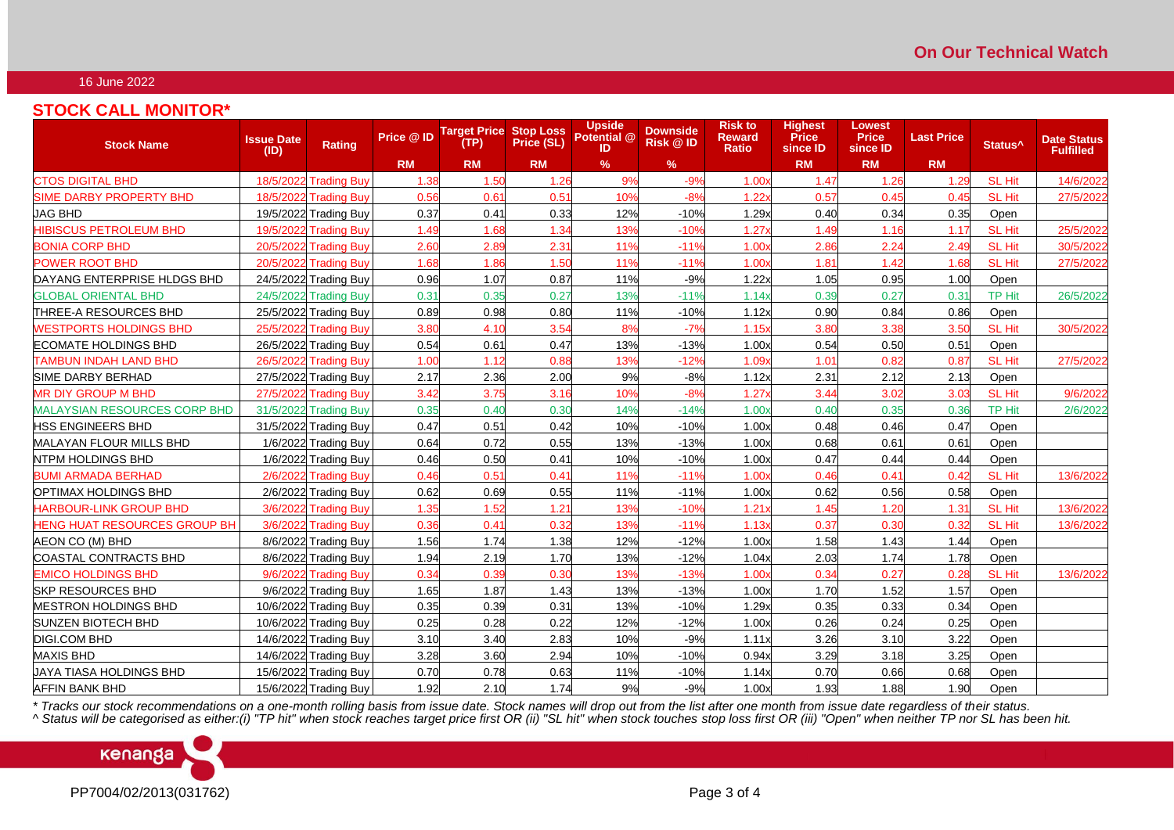## 16 June 2022

## **STOCK CALL MONITOR\***

| <b>Stock Name</b>                   | <b>Issue Date</b><br>(1D) | Rating                | Price @ ID       | <b>Target Price Stop Loss</b><br>(TP) | Price (SL) | <b>Upside</b><br>Potential @<br>ID | <b>Downside</b><br><b>Risk @ID</b> | <b>Risk to</b><br><b>Reward</b><br><b>Ratio</b> | <b>Highest</b><br><b>Price</b><br>since ID | Lowest<br><b>Price</b><br>since ID | <b>Last Price</b> | Status <sup>^</sup> | <b>Date Status</b><br><b>Fulfilled</b> |
|-------------------------------------|---------------------------|-----------------------|------------------|---------------------------------------|------------|------------------------------------|------------------------------------|-------------------------------------------------|--------------------------------------------|------------------------------------|-------------------|---------------------|----------------------------------------|
|                                     |                           |                       | <b>RM</b>        | <b>RM</b>                             | <b>RM</b>  | $\%$                               | $\%$                               |                                                 | <b>RM</b>                                  | <b>RM</b>                          | <b>RM</b>         |                     |                                        |
| <b>CTOS DIGITAL BHD</b>             | 18/5/2022                 | <b>Trading Buy</b>    | 1.38             | 1.50                                  | 1.26       | 9%                                 | $-9%$                              | 1.00x                                           | 1.47                                       | 1.26                               | 1.29              | <b>SL Hit</b>       | 14/6/2022                              |
| <b>SIME DARBY PROPERTY BHD</b>      | 18/5/202                  | <b>Trading Buy</b>    | 0.56             | 0.61                                  | 0.51       | 10%                                | $-8%$                              | 1.22                                            | 0.57                                       | 0.45                               | 0.45              | <b>SL Hit</b>       | 27/5/2022                              |
| JAG BHD                             | 19/5/2022                 | <b>Trading Buy</b>    | 0.37             | 0.41                                  | 0.33       | 12%                                | $-10%$                             | 1.29x                                           | 0.40                                       | 0.34                               | 0.35              | Open                |                                        |
| <b>HIBISCUS PETROLEUM BHD</b>       | 19/5/2022                 | <b>Trading Buy</b>    | 1.49             | 1.68                                  | 1.34       | 13%                                | $-10%$                             | 1.27                                            | 1.49                                       | 1.16                               | 1.17              | <b>SL Hit</b>       | 25/5/2022                              |
| <b>BONIA CORP BHD</b>               | 20/5/2022                 | <b>Trading Buy</b>    | 2.60             | 2.89                                  | 2.31       | 11%                                | $-119$                             | 1.00                                            | 2.86                                       | 2.24                               | 2.49              | <b>SL Hit</b>       | 30/5/2022                              |
| <b>POWER ROOT BHD</b>               | 20/5/2022                 | <b>Trading Buy</b>    | 1.68             | 1.86                                  | 1.50       | 11%                                | $-11%$                             | 1.00                                            | 1.81                                       | 1.42                               | 1.68              | <b>SL Hit</b>       | 27/5/2022                              |
| DAYANG ENTERPRISE HLDGS BHD         |                           | 24/5/2022 Trading Buy | 0.96             | 1.07                                  | 0.87       | 11%                                | $-9%$                              | 1.22x                                           | 1.05                                       | 0.95                               | 1.00              | Open                |                                        |
| <b>GLOBAL ORIENTAL BHD</b>          | 24/5/2022                 | <b>Trading Buy</b>    | 0.31             | 0.35                                  | 0.27       | 13%                                | $-119$                             | 1.14x                                           | 0.39                                       | 0.27                               | 0.31              | <b>TP Hit</b>       | 26/5/2022                              |
| THREE-A RESOURCES BHD               | 25/5/2022                 | <b>Trading Buy</b>    | 0.89             | 0.98                                  | 0.80       | 11%                                | $-10%$                             | 1.12x                                           | 0.90                                       | 0.84                               | 0.86              | Open                |                                        |
| <b>WESTPORTS HOLDINGS BHD</b>       | 25/5/202                  | <b>Trading Buy</b>    | 3.8 <sub>C</sub> | 4.10                                  | 3.54       | 8%                                 | $-7%$                              | 1.15x                                           | 3.80                                       | 3.38                               | 3.5 <sub>C</sub>  | <b>SL Hit</b>       | 30/5/2022                              |
| <b>ECOMATE HOLDINGS BHD</b>         | 26/5/2022                 | <b>Trading Buy</b>    | 0.54             | 0.61                                  | 0.47       | 13%                                | $-13%$                             | 1.00x                                           | 0.54                                       | 0.50                               | 0.51              | Open                |                                        |
| <b>TAMBUN INDAH LAND BHD</b>        | 26/5/2022                 | <b>Trading Buy</b>    | 1.00             | 1.12                                  | 0.88       | 13%                                | $-129$                             | 1.09 <sub>2</sub>                               | 1.01                                       | 0.82                               | 0.87              | <b>SL Hit</b>       | 27/5/2022                              |
| SIME DARBY BERHAD                   | 27/5/2022                 | <b>Trading Buy</b>    | 2.17             | 2.36                                  | 2.00       | 9%                                 | $-8%$                              | 1.12x                                           | 2.31                                       | 2.12                               | 2.13              | Open                |                                        |
| <b>MR DIY GROUP M BHD</b>           | 27/5/2022                 | <b>Trading Buy</b>    | 3.42             | 3.75                                  | 3.16       | 10%                                | $-8%$                              | $1.27\times$                                    | 3.44                                       | 3.02                               | 3.03              | <b>SL Hit</b>       | 9/6/2022                               |
| <b>MALAYSIAN RESOURCES CORP BHD</b> | 31/5/2022                 | <b>Trading Buy</b>    | 0.35             | 0.40                                  | 0.30       | 14%                                | $-14%$                             | 1.00 <sub>x</sub>                               | 0.40                                       | 0.35                               | 0.36              | <b>TP Hit</b>       | 2/6/2022                               |
| <b>HSS ENGINEERS BHD</b>            | 31/5/2022                 | <b>Trading Buy</b>    | 0.47             | 0.51                                  | 0.42       | 10%                                | $-10%$                             | 1.00x                                           | 0.48                                       | 0.46                               | 0.47              | Open                |                                        |
| <b>MALAYAN FLOUR MILLS BHD</b>      | 1/6/2022                  | <b>Trading Buy</b>    | 0.64             | 0.72                                  | 0.55       | 13%                                | $-13%$                             | 1.00x                                           | 0.68                                       | 0.61                               | 0.61              | Open                |                                        |
| <b>NTPM HOLDINGS BHD</b>            | 1/6/2022                  | <b>Trading Buy</b>    | 0.46             | 0.50                                  | 0.41       | 10%                                | $-10%$                             | 1.00x                                           | 0.47                                       | 0.44                               | 0.44              | Open                |                                        |
| <b>BUMI ARMADA BERHAD</b>           | 2/6/2022                  | <b>Trading Buy</b>    | 0.46             | 0.51                                  | 0.41       | 11%                                | $-119$                             | 1.00                                            | 0.46                                       | $0.4^{\circ}$                      | 0.42              | <b>SL Hit</b>       | 13/6/2022                              |
| OPTIMAX HOLDINGS BHD                |                           | 2/6/2022 Trading Buy  | 0.62             | 0.69                                  | 0.55       | 11%                                | $-11%$                             | 1.00x                                           | 0.62                                       | 0.56                               | 0.58              | Open                |                                        |
| <b>HARBOUR-LINK GROUP BHD</b>       | 3/6/2022                  | <b>Trading Buy</b>    | 1.35             | 1.52                                  | 1.21       | 13%                                | $-10%$                             | 1.21                                            | 1.45                                       | 1.20                               | 1.31              | <b>SL Hit</b>       | 13/6/2022                              |
| <b>HENG HUAT RESOURCES GROUP BH</b> | 3/6/2022                  | <b>Trading Buv</b>    | 0.36             | 0.41                                  | 0.32       | 13%                                | $-11%$                             | 1.13x                                           | 0.37                                       | 0.30                               | 0.32              | <b>SL Hit</b>       | 13/6/2022                              |
| AEON CO (M) BHD                     |                           | 8/6/2022 Trading Buy  | 1.56             | 1.74                                  | 1.38       | 12%                                | $-12%$                             | 1.00x                                           | 1.58                                       | 1.43                               | 1.44              | Open                |                                        |
| <b>COASTAL CONTRACTS BHD</b>        |                           | 8/6/2022 Trading Buy  | 1.94             | 2.19                                  | 1.70       | 13%                                | $-12%$                             | 1.04x                                           | 2.03                                       | 1.74                               | 1.78              | Open                |                                        |
| <b>EMICO HOLDINGS BHD</b>           | 9/6/202                   | <b>Trading Buy</b>    | 0.34             | 0.39                                  | 0.3C       | 13%                                | $-13%$                             | 1.00 <sub>x</sub>                               | 0.34                                       | 0.27                               | 0.28              | <b>SL Hit</b>       | 13/6/2022                              |
| <b>SKP RESOURCES BHD</b>            | 9/6/2022                  | <b>Trading Buy</b>    | 1.65             | 1.87                                  | 1.43       | 13%                                | $-13%$                             | 1.00x                                           | 1.70                                       | 1.52                               | 1.57              | Open                |                                        |
| <b>MESTRON HOLDINGS BHD</b>         | 10/6/2022                 | <b>Trading Buy</b>    | 0.35             | 0.39                                  | 0.31       | 13%                                | $-10%$                             | 1.29x                                           | 0.35                                       | 0.33                               | 0.34              | Open                |                                        |
| <b>SUNZEN BIOTECH BHD</b>           | 10/6/2022                 | <b>Trading Buy</b>    | 0.25             | 0.28                                  | 0.22       | 12%                                | $-12%$                             | 1.00x                                           | 0.26                                       | 0.24                               | 0.25              | Open                |                                        |
| <b>DIGI.COM BHD</b>                 | 14/6/2022                 | <b>Trading Buy</b>    | 3.10             | 3.40                                  | 2.83       | 10%                                | $-9%$                              | 1.11x                                           | 3.26                                       | 3.10                               | 3.22              | Open                |                                        |
| <b>MAXIS BHD</b>                    |                           | 14/6/2022 Trading Buy | 3.28             | 3.60                                  | 2.94       | 10%                                | $-10%$                             | 0.94x                                           | 3.29                                       | 3.18                               | 3.25              | Open                |                                        |
| <b>UAYA TIASA HOLDINGS BHD</b>      | 15/6/2022                 | <b>Trading Buy</b>    | 0.70             | 0.78                                  | 0.63       | 11%                                | $-10%$                             | 1.14x                                           | 0.70                                       | 0.66                               | 0.68              | Open                |                                        |
| <b>AFFIN BANK BHD</b>               |                           | 15/6/2022 Trading Buy | 1.92             | 2.10                                  | 1.74       | 9%                                 | $-9%$                              | 1.00x                                           | 1.93                                       | 1.88                               | 1.90              | Open                |                                        |

*\* Tracks our stock recommendations on a one-month rolling basis from issue date. Stock names will drop out from the list after one month from issue date regardless of their status.*

*^ Status will be categorised as either:(i) "TP hit" when stock reaches target price first OR (ii) "SL hit" when stock touches stop loss first OR (iii) "Open" when neither TP nor SL has been hit.*